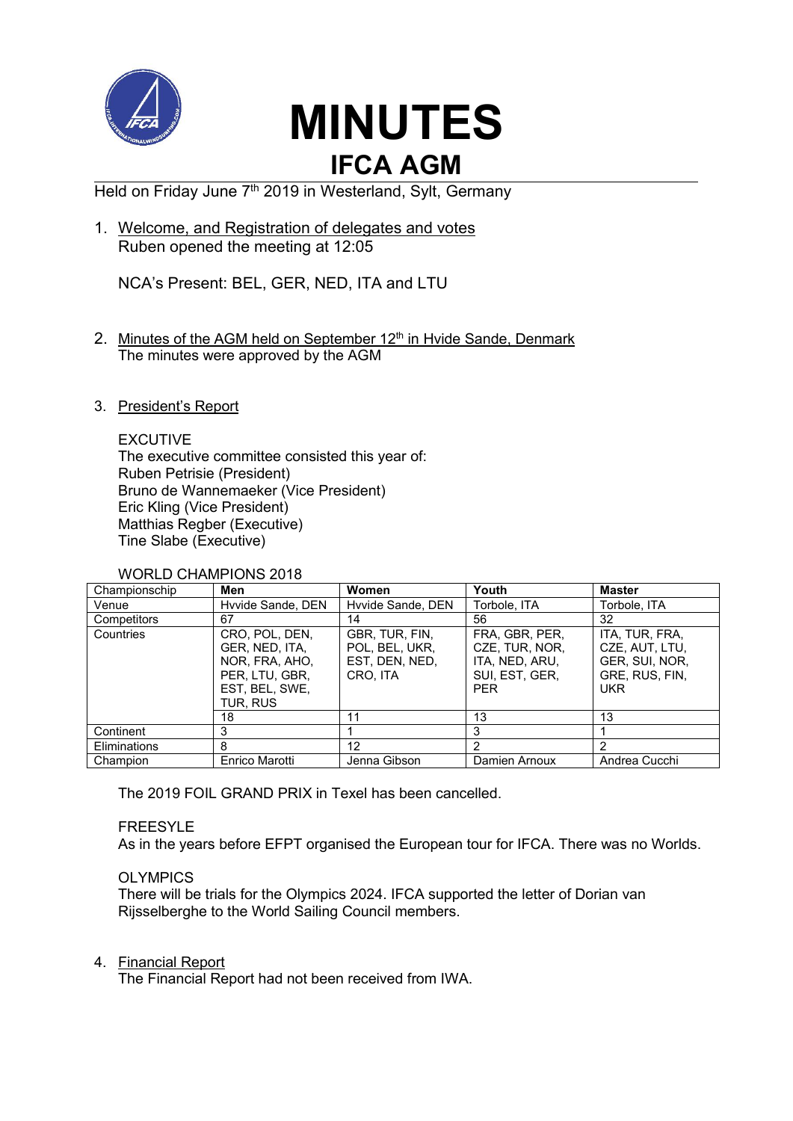

# **MINUTES IFCA AGM**

Held on Friday June 7<sup>th</sup> 2019 in Westerland, Sylt, Germany

1. Welcome, and Registration of delegates and votes Ruben opened the meeting at 12:05

NCA's Present: BEL, GER, NED, ITA and LTU

- 2. Minutes of the AGM held on September 12<sup>th</sup> in Hvide Sande, Denmark The minutes were approved by the AGM
- 3. President's Report

## **EXCUTIVE**

The executive committee consisted this year of: Ruben Petrisie (President) Bruno de Wannemaeker (Vice President) Eric Kling (Vice President) Matthias Regber (Executive) Tine Slabe (Executive)

#### WORLD CHAMPIONS 2018

| Championschip | Men                                                                                                | Women                                                          | Youth                                                                              | <b>Master</b>                                                                      |
|---------------|----------------------------------------------------------------------------------------------------|----------------------------------------------------------------|------------------------------------------------------------------------------------|------------------------------------------------------------------------------------|
| Venue         | Hyvide Sande, DEN                                                                                  | Hyvide Sande, DEN                                              | Torbole, ITA                                                                       | Torbole, ITA                                                                       |
| Competitors   | 67                                                                                                 | 14                                                             | 56                                                                                 | 32                                                                                 |
| Countries     | CRO, POL, DEN,<br>GER, NED, ITA,<br>NOR, FRA, AHO,<br>PER, LTU, GBR,<br>EST, BEL, SWE,<br>TUR. RUS | GBR, TUR, FIN,<br>POL, BEL, UKR,<br>EST, DEN, NED,<br>CRO. ITA | FRA, GBR, PER,<br>CZE, TUR, NOR,<br>ITA, NED, ARU,<br>SUI, EST, GER,<br><b>PER</b> | ITA, TUR, FRA,<br>CZE, AUT, LTU,<br>GER, SUI, NOR,<br>GRE, RUS, FIN,<br><b>UKR</b> |
|               | 18                                                                                                 | 11                                                             | 13                                                                                 | 13                                                                                 |
| Continent     | 3                                                                                                  |                                                                | 3                                                                                  |                                                                                    |
| Eliminations  | 8                                                                                                  | $12 \overline{ }$                                              | $\mathcal{P}$                                                                      | 2                                                                                  |
| Champion      | Enrico Marotti                                                                                     | Jenna Gibson                                                   | Damien Arnoux                                                                      | Andrea Cucchi                                                                      |

The 2019 FOIL GRAND PRIX in Texel has been cancelled.

#### FREESYLE

As in the years before EFPT organised the European tour for IFCA. There was no Worlds.

#### **OLYMPICS**

There will be trials for the Olympics 2024. IFCA supported the letter of Dorian van Rijsselberghe to the World Sailing Council members.

#### 4. Financial Report

The Financial Report had not been received from IWA.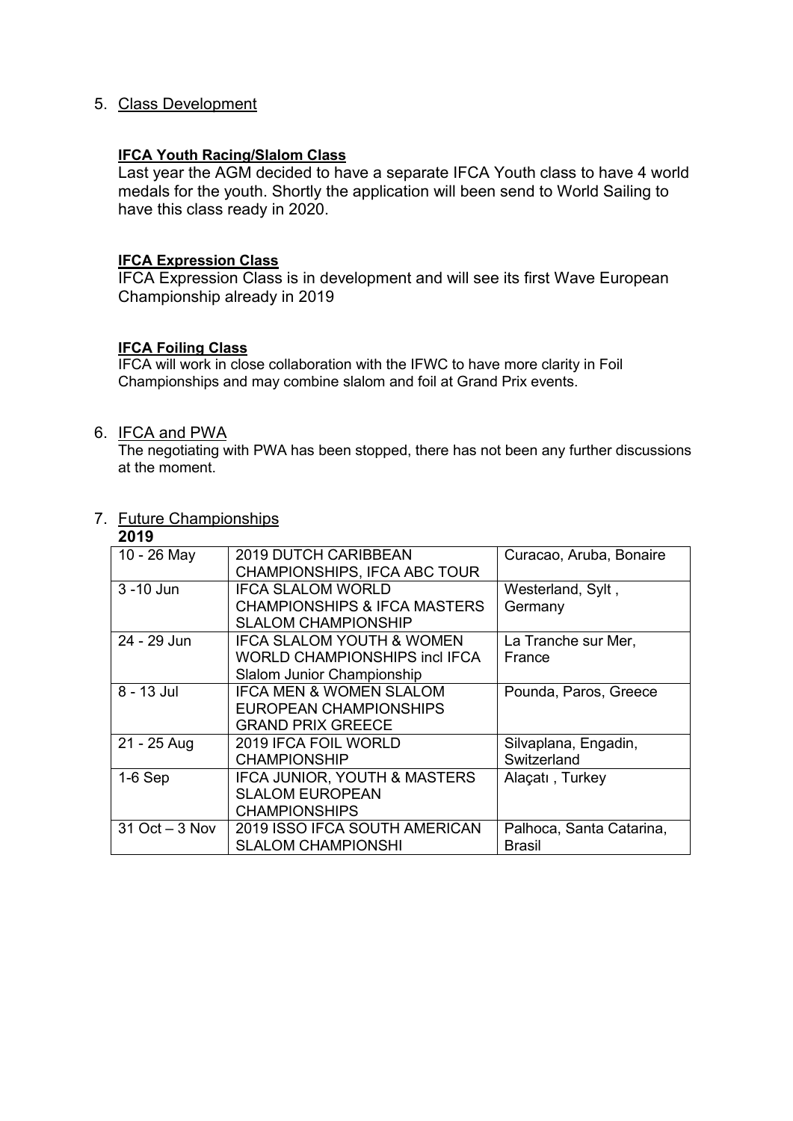### 5. Class Development

#### **IFCA Youth Racing/Slalom Class**

Last year the AGM decided to have a separate IFCA Youth class to have 4 world medals for the youth. Shortly the application will been send to World Sailing to have this class ready in 2020.

#### **IFCA Expression Class**

IFCA Expression Class is in development and will see its first Wave European Championship already in 2019

#### **IFCA Foiling Class**

IFCA will work in close collaboration with the IFWC to have more clarity in Foil Championships and may combine slalom and foil at Grand Prix events.

#### 6. IFCA and PWA

The negotiating with PWA has been stopped, there has not been any further discussions at the moment.

# 7. Future Championships

| 2019              |                                         |                          |
|-------------------|-----------------------------------------|--------------------------|
| 10 - 26 May       | <b>2019 DUTCH CARIBBEAN</b>             | Curacao, Aruba, Bonaire  |
|                   | CHAMPIONSHIPS, IFCA ABC TOUR            |                          |
| 3 - 10 Jun        | <b>IFCA SLALOM WORLD</b>                | Westerland, Sylt,        |
|                   | <b>CHAMPIONSHIPS &amp; IFCA MASTERS</b> | Germany                  |
|                   | <b>SLALOM CHAMPIONSHIP</b>              |                          |
| 24 - 29 Jun       | <b>IFCA SLALOM YOUTH &amp; WOMEN</b>    | La Tranche sur Mer,      |
|                   | WORLD CHAMPIONSHIPS incl IFCA_          | France                   |
|                   | Slalom Junior Championship              |                          |
| 8 - 13 Jul        | <b>IFCA MEN &amp; WOMEN SLALOM</b>      | Pounda, Paros, Greece    |
|                   | EUROPEAN CHAMPIONSHIPS                  |                          |
|                   | <b>GRAND PRIX GREECE</b>                |                          |
| 21 - 25 Aug       | 2019 IFCA FOIL WORLD                    | Silvaplana, Engadin,     |
|                   | <b>CHAMPIONSHIP</b>                     | Switzerland              |
| $1-6$ Sep         | IFCA JUNIOR, YOUTH & MASTERS            | Alaçatı, Turkey          |
|                   | <b>SLALOM EUROPEAN</b>                  |                          |
|                   | <b>CHAMPIONSHIPS</b>                    |                          |
| $31$ Oct $-3$ Nov | 2019 ISSO IFCA SOUTH AMERICAN           | Palhoca, Santa Catarina, |
|                   | <b>SLALOM CHAMPIONSHI</b>               | <b>Brasil</b>            |